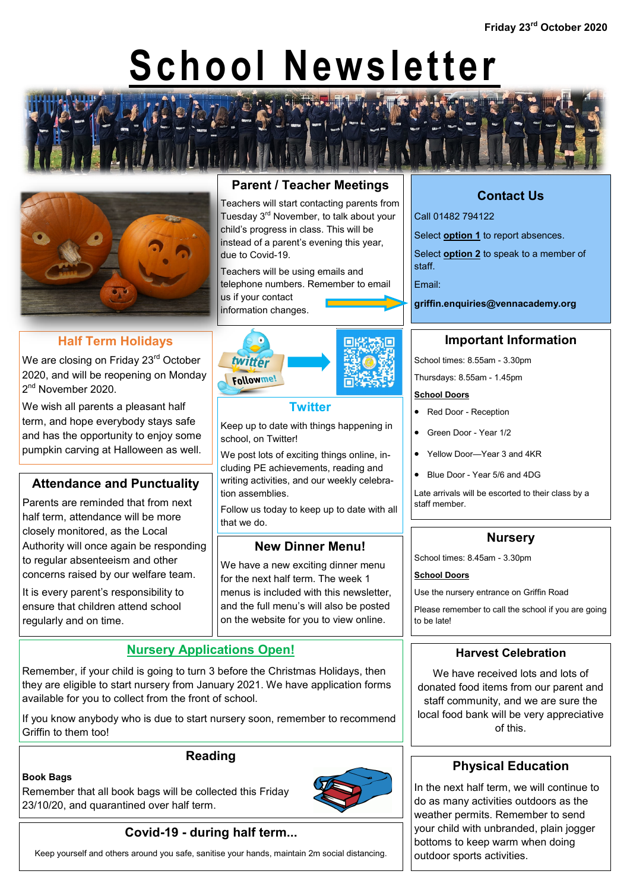# **School Newsletter**





# **Half Term Holidays**

We are closing on Friday 23<sup>rd</sup> October 2020, and will be reopening on Monday 2<sup>nd</sup> November 2020.

We wish all parents a pleasant half term, and hope everybody stays safe and has the opportunity to enjoy some pumpkin carving at Halloween as well.

## **Attendance and Punctuality**

Parents are reminded that from next half term, attendance will be more closely monitored, as the Local Authority will once again be responding to regular absenteeism and other concerns raised by our welfare team.

It is every parent's responsibility to ensure that children attend school regularly and on time.

# **Parent / Teacher Meetings**

Teachers will start contacting parents from Tuesday 3<sup>rd</sup> November, to talk about your child's progress in class. This will be instead of a parent's evening this year, due to Covid-19.

Teachers will be using emails and telephone numbers. Remember to email us if your contact information changes.



## **Twitter**

twitter Followme!

Keep up to date with things happening in school, on Twitter!

We post lots of exciting things online, including PE achievements, reading and writing activities, and our weekly celebration assemblies.

Follow us today to keep up to date with all that we do.

## **New Dinner Menu!**

We have a new exciting dinner menu for the next half term. The week 1 menus is included with this newsletter, and the full menu's will also be posted on the website for you to view online.

## **Nursery Applications Open!**

Remember, if your child is going to turn 3 before the Christmas Holidays, then they are eligible to start nursery from January 2021. We have application forms available for you to collect from the front of school.

If you know anybody who is due to start nursery soon, remember to recommend Griffin to them too!

## **Reading**

#### **Book Bags**

Remember that all book bags will be collected this Friday 23/10/20, and quarantined over half term.



# **Covid-19 - during half term...**

Keep yourself and others around you safe, sanitise your hands, maintain 2m social distancing.

# **Contact Us**

Call 01482 794122

Select **option 1** to report absences.

Select **option 2** to speak to a member of staff.

Email:

**griffin.enquiries@vennacademy.org**

## **Important Information**

School times: 8.55am - 3.30pm

Thursdays: 8.55am - 1.45pm

#### **School Doors**

- Red Door Reception
- Green Door Year 1/2
- Yellow Door—Year 3 and 4KR
- Blue Door Year 5/6 and 4DG

Late arrivals will be escorted to their class by a staff member.

## **Nursery**

School times: 8.45am - 3.30pm

#### **School Doors**

Use the nursery entrance on Griffin Road

Please remember to call the school if you are going to be late!

## **Harvest Celebration**

We have received lots and lots of donated food items from our parent and staff community, and we are sure the local food bank will be very appreciative of this.

# **Physical Education**

In the next half term, we will continue to do as many activities outdoors as the weather permits. Remember to send your child with unbranded, plain jogger bottoms to keep warm when doing outdoor sports activities.